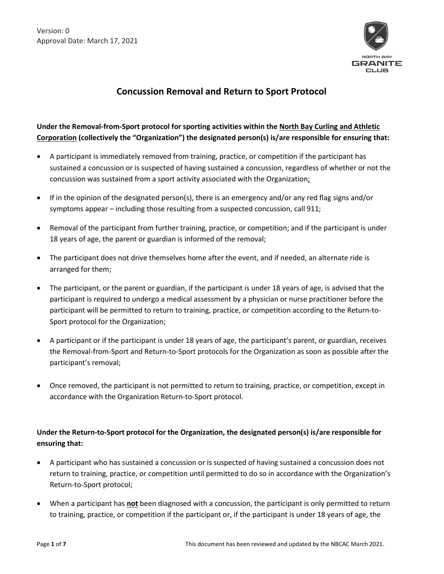

# **Concussion Removal and Return to Sport Protocol**

## Under the Removal-from-Sport protocol for sporting activities within the North Bay Curling and Athletic Corporation (collectively the "Organization") the designated person(s) is/are responsible for ensuring that:

- A participant is immediately removed from training, practice, or competition if the participant has sustained a concussion or is suspected of having sustained a concussion, regardless of whether or not the concussion was sustained from a sport activity associated with the Organization;
- If in the opinion of the designated person(s), there is an emergency and/or any red flag signs and/or symptoms appear – including those resulting from a suspected concussion, call 911;
- Removal of the participant from further training, practice, or competition; and if the participant is under 18 years of age, the parent or guardian is informed of the removal;
- The participant does not drive themselves home after the event, and if needed, an alternate ride is arranged for them;
- The participant, or the parent or guardian, if the participant is under 18 years of age, is advised that the participant is required to undergo a medical assessment by a physician or nurse practitioner before the participant will be permitted to return to training, practice, or competition according to the Return-to-Sport protocol for the Organization;
- A participant or if the participant is under 18 years of age, the participant's parent, or guardian, receives the Removal-from-Sport and Return-to-Sport protocols for the Organization as soon as possible after the participant's removal;
- Once removed, the participant is not permitted to return to training, practice, or competition, except in accordance with the Organization Return-to-Sport protocol.

## Under the Return-to-Sport protocol for the Organization, the designated person(s) is/are responsible for **ensuring that:**

- A participant who has sustained a concussion or is suspected of having sustained a concussion does not return to training, practice, or competition until permitted to do so in accordance with the Organization's Return-to-Sport protocol;
- When a participant has **not** been diagnosed with a concussion, the participant is only permitted to return to training, practice, or competition if the participant or, if the participant is under 18 years of age, the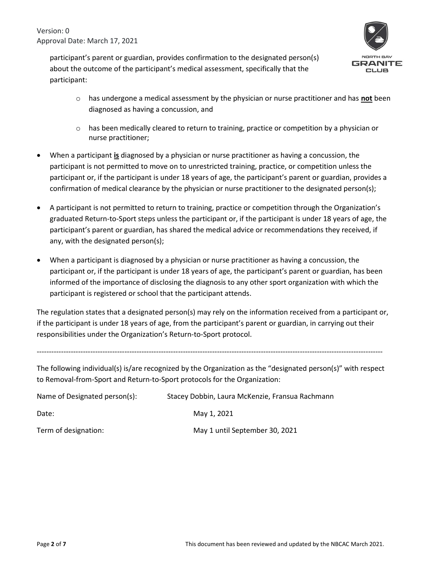> participant's parent or guardian, provides confirmation to the designated person(s) about the outcome of the participant's medical assessment, specifically that the participant:



- o has undergone a medical assessment by the physician or nurse practitioner and has **noƚ** been diagnosed as having a concussion, and
- $\circ$  has been medically cleared to return to training, practice or competition by a physician or nurse practitioner;
- When a participant *is* diagnosed by a physician or nurse practitioner as having a concussion, the participant is not permitted to move on to unrestricted training, practice, or competition unless the participant or, if the participant is under 18 years of age, the participant's parent or guardian, provides a confirmation of medical clearance by the physician or nurse practitioner to the designated person(s);
- A participant is not permitted to return to training, practice or competition through the Organization's graduated Return-to-Sport steps unless the participant or, if the participant is under 18 years of age, the participant's parent or guardian, has shared the medical advice or recommendations they received, if any, with the designated person(s);
- x When a participant is diagnosed by a physician or nurse practitioner as having a concussion, the participant or, if the participant is under 18 years of age, the participant's parent or guardian, has been informed of the importance of disclosing the diagnosis to any other sport organization with which the participant is registered or school that the participant attends.

The regulation states that a designated person(s) may rely on the information received from a participant or, if the participant is under 1ϴ years of age, from the participant's parent or guardian, in carrying out their responsibilities under the Organization's Return-to-Sport protocol.

----------------------------------------------------------------------------------------------------------------------------------------------

The following individual(s) is/are recognized by the Organization as the "designated person(s)" with respect to Removal-from-Sport and Return-to-Sport protocols for the Organization:

| Name of Designated person(s): | Stacey Dobbin, Laura McKenzie, Fransua Rachmann |
|-------------------------------|-------------------------------------------------|
| Date:                         | May 1, 2021                                     |
| Term of designation:          | May 1 until September 30, 2021                  |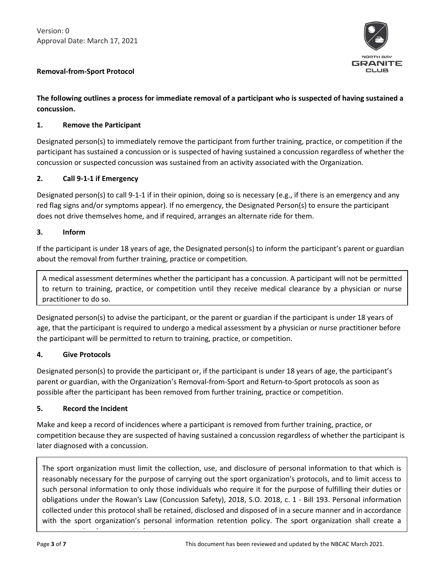

## **Removal-from-Sport Protocol**

## **The folloǁing oƵƚlineƐ a ƉƌoceƐƐ foƌ immediaƚe ƌemoǀal of a ƉaƌƚiciƉanƚ ǁho iƐ ƐƵƐƉecƚed of haǀing ƐƵƐƚained a**  concussion.

## 1. Remove the Participant

Designated person(s) to immediately remove the participant from further training, practice, or competition if the participant has sustained a concussion or is suspected of having sustained a concussion regardless of whether the concussion or suspected concussion was sustained from an activity associated with the Organization.

## **2.** Call 9-1-1 if Emergency

Designated person(s) to call 9-1-1 if in their opinion, doing so is necessary (e.g., if there is an emergency and any red flag signs and/or symptoms appear). If no emergency, the Designated Person(s) to ensure the participant does not drive themselves home, and if required, arranges an alternate ride for them.

## **3.** Inform

If the participant is under 18 years of age, the Designated person(s) to inform the participant's parent or guardian about the removal from further training, practice or competition.

A medical assessment determines whether the participant has a concussion. A participant will not be permitted to return to training, practice, or competition until they receive medical clearance by a physician or nurse practitioner to do so.

Designated person(s) to advise the participant, or the parent or guardian if the participant is under 18 years of age, that the participant is required to undergo a medical assessment by a physician or nurse practitioner before the participant will be permitted to return to training, practice, or competition.

## **4.** Give Protocols

Designated person(s) to provide the participant or, if the participant is under 18 years of age, the participant's parent or guardian, with the Organization's Removal-from-Sport and Return-to-Sport protocols as soon as possible after the participant has been removed from further training, practice or competition.

## **5.** Record the Incident

retention policy for personal information.

Make and keep a record of incidences where a participant is removed from further training, practice, or competition because they are suspected of having sustained a concussion regardless of whether the participant is later diagnosed with a concussion.

The sport organization must limit the collection, use, and disclosure of personal information to that which is reasonably necessary for the purpose of carrying out the sport organization's protocols, and to limit access to such personal information to only those individuals who require it for the purpose of fulfilling their duties or obligations under the Rowan's Law (Concussion Safety), 2018, S.O. 2018, c. 1 - Bill 193. Personal information collected under this protocol shall be retained, disclosed and disposed of in a secure manner and in accordance with the sport organization's personal information retention policy. The sport organization shall create a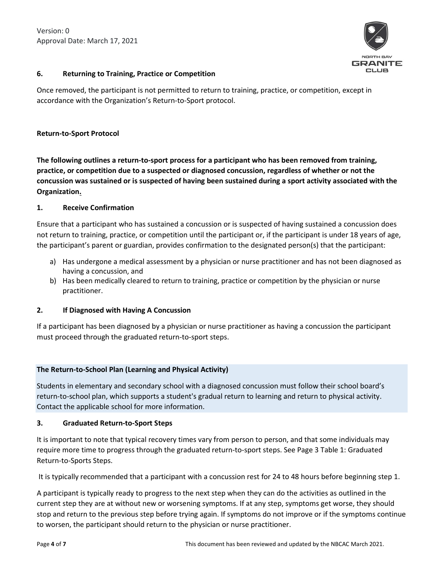

## **6.** Returning to Training, Practice or Competition

Once removed, the participant is not permitted to return to training, practice, or competition, except in accordance with the Organization's Return-to-Sport protocol.

#### **Return-to-Sport Protocol**

The following outlines a return-to-sport process for a participant who has been removed from training, practice, or competition due to a suspected or diagnosed concussion, regardless of whether or not the concussion was sustained or is suspected of having been sustained during a sport activity associated with the **Organization.** 

#### **1.** Receive Confirmation

Ensure that a participant who has sustained a concussion or is suspected of having sustained a concussion does not return to training, practice, or competition until the participant or, if the participant is under 18 years of age, the participant's parent or guardian, provides confirmation to the designated person(s) that the participant:

- a) Has undergone a medical assessment by a physician or nurse practitioner and has not been diagnosed as having a concussion, and
- b) Has been medically cleared to return to training, practice or competition by the physician or nurse practitioner.

## **2.** If Diagnosed with Having A Concussion

If a participant has been diagnosed by a physician or nurse practitioner as having a concussion the participant must proceed through the graduated return-to-sport steps.

## **The Return-to-School Plan (Learning and Physical Activity)**

Students in elementary and secondary school with a diagnosed concussion must follow their school board's return-to-school plan, which supports a student's gradual return to learning and return to physical activity. Contact the applicable school for more information.

## **3.** Graduated Return-to-Sport Steps

It is important to note that typical recovery times vary from person to person, and that some individuals may require more time to progress through the graduated return-to-sport steps. See Page 3 Table 1: Graduated Return-to-Sports Steps.

It is typically recommended that a participant with a concussion rest for 24 to 48 hours before beginning step 1.

A participant is typically ready to progress to the next step when they can do the activities as outlined in the current step they are at without new or worsening symptoms. If at any step, symptoms get worse, they should stop and return to the previous step before trying again. If symptoms do not improve or if the symptoms continue to worsen, the participant should return to the physician or nurse practitioner.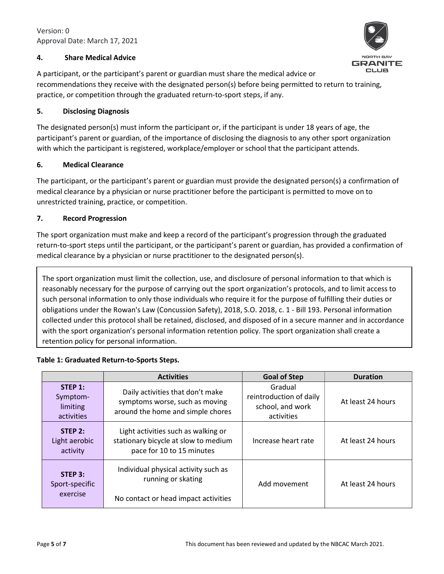## **ϰ͘ Shaƌe Medical Adǀice**

**JANITE** CLUB

A participant, or the participant's parent or guardian must share the medical advice or recommendations they receive with the designated person(s) before being permitted to return to training, practice, or competition through the graduated return-to-sport steps, if any.

## **5.** Disclosing Diagnosis

The designated person(s) must inform the participant or, if the participant is under 18 years of age, the participant's parent or guardian, of the importance of disclosing the diagnosis to any other sport organization with which the participant is registered, workplace/employer or school that the participant attends.

## **ϲ͘ Medical Cleaƌance**

The participant, or the participant's parent or guardian must provide the designated person(s) a confirmation of medical clearance by a physician or nurse practitioner before the participant is permitted to move on to unrestricted training, practice, or competition.

## 7. Record Progression

The sport organization must make and keep a record of the participant's progression through the graduated return-to-sport steps until the participant, or the participant's parent or guardian, has provided a confirmation of medical clearance by a physician or nurse practitioner to the designated person(s).

The sport organization must limit the collection, use, and disclosure of personal information to that which is reasonably necessary for the purpose of carrying out the sport organization's protocols, and to limit access to such personal information to only those individuals who require it for the purpose of fulfilling their duties or obligations under the Rowan's Law (Concussion Safety), 2018, S.O. 2018, c. 1 - Bill 193. Personal information collected under this protocol shall be retained, disclosed, and disposed of in a secure manner and in accordance with the sport organization's personal information retention policy. The sport organization shall create a retention policy for personal information.

## Table 1: Graduated Return-to-Sports Steps.

|                                               | <b>Activities</b>                                                                                        | <b>Goal of Step</b>                                                  | <b>Duration</b>   |  |
|-----------------------------------------------|----------------------------------------------------------------------------------------------------------|----------------------------------------------------------------------|-------------------|--|
| STEP 1:<br>Symptom-<br>limiting<br>activities | Daily activities that don't make<br>symptoms worse, such as moving<br>around the home and simple chores  | Gradual<br>reintroduction of daily<br>school, and work<br>activities | At least 24 hours |  |
| STEP 2:<br>Light aerobic<br>activity          | Light activities such as walking or<br>stationary bicycle at slow to medium<br>pace for 10 to 15 minutes | Increase heart rate                                                  | At least 24 hours |  |
| STEP 3:<br>Sport-specific<br>exercise         | Individual physical activity such as<br>running or skating<br>No contact or head impact activities       | Add movement                                                         | At least 24 hours |  |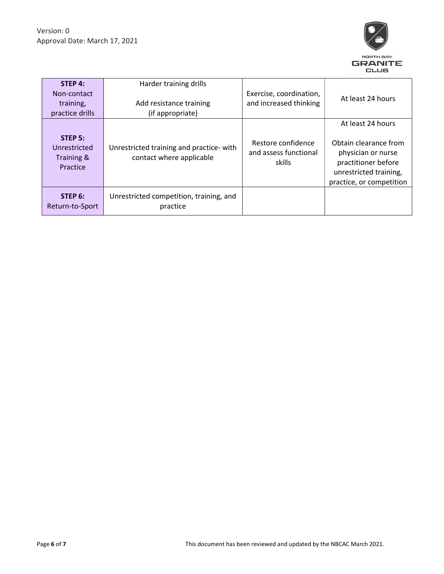

| STEP 4:<br>Non-contact<br>training,<br>practice drills | Harder training drills<br>Add resistance training<br>(if appropriate) | Exercise, coordination,<br>and increased thinking     | At least 24 hours                                                                                                                             |
|--------------------------------------------------------|-----------------------------------------------------------------------|-------------------------------------------------------|-----------------------------------------------------------------------------------------------------------------------------------------------|
| STEP 5:<br>Unrestricted<br>Training &<br>Practice      | Unrestricted training and practice- with<br>contact where applicable  | Restore confidence<br>and assess functional<br>skills | At least 24 hours<br>Obtain clearance from<br>physician or nurse<br>practitioner before<br>unrestricted training,<br>practice, or competition |
| STEP 6:<br>Return-to-Sport                             | Unrestricted competition, training, and<br>practice                   |                                                       |                                                                                                                                               |